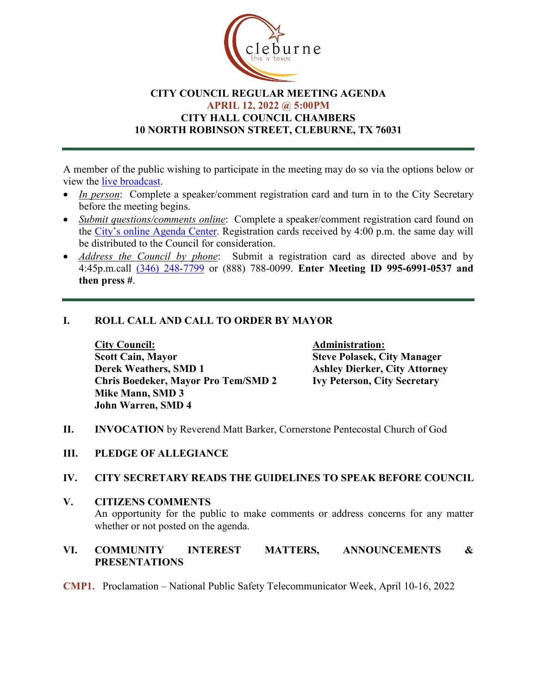

## **CITY COUNCIL REGULAR MEETING AGENDA APRIL 12, 2022 @ 5:00PM CITY HALL COUNCIL CHAMBERS 10 NORTH ROBINSON STREET, CLEBURNE, TX 76031**

A member of the public wishing to participate in the meeting may do so via the options below or view the [live broadcast.](http://www.cleburne.net/925/Cleburne-Live)

- *In person*: Complete a speaker/comment registration card and turn in to the City Secretary before the meeting begins.
- *Submit questions/comments online*: Complete a speaker/comment registration card found on the [City's online Agenda Center.](https://www.cleburne.net/agendacenter) Registration cards received by 4:00 p.m. the same day will be distributed to the Council for consideration.
- *Address the Council by phone*: Submit a registration card as directed above and by 4:45p.m.call [\(346\) 248-7799](tel:+13127573117,,477307821) or (888) 788-0099. **Enter Meeting ID 995-6991-0537 and then press #**.

## **I. ROLL CALL AND CALL TO ORDER BY MAYOR**

**City Council: Administration: Scott Cain, Mayor Steve Polasek, City Manager Derek Weathers, SMD 1 Ashley Dierker, City Attorney Chris Boedeker, Mayor Pro Tem/SMD 2 Ivy Peterson, City Secretary Mike Mann, SMD 3 John Warren, SMD 4**

- **II. INVOCATION** by Reverend Matt Barker, Cornerstone Pentecostal Church of God
- **III. PLEDGE OF ALLEGIANCE**

### **IV. CITY SECRETARY READS THE GUIDELINES TO SPEAK BEFORE COUNCIL**

**V. CITIZENS COMMENTS**

An opportunity for the public to make comments or address concerns for any matter whether or not posted on the agenda.

## **VI. COMMUNITY INTEREST MATTERS, ANNOUNCEMENTS & PRESENTATIONS**

**CMP1.** Proclamation – National Public Safety Telecommunicator Week, April 10-16, 2022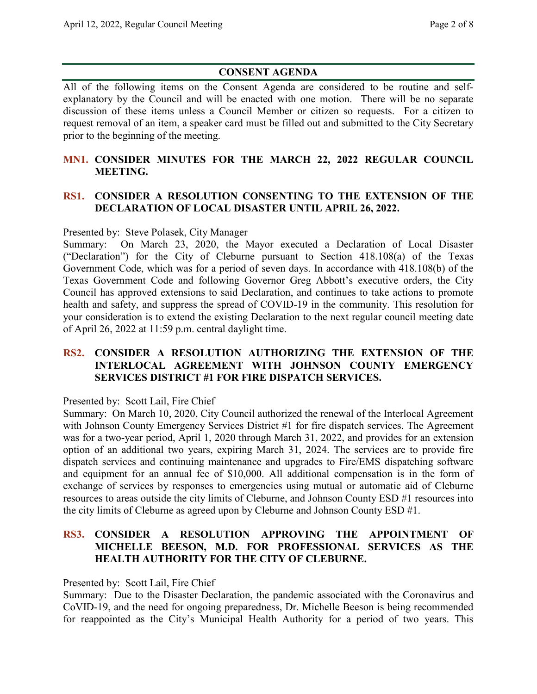# **CONSENT AGENDA**

All of the following items on the Consent Agenda are considered to be routine and selfexplanatory by the Council and will be enacted with one motion. There will be no separate discussion of these items unless a Council Member or citizen so requests. For a citizen to request removal of an item, a speaker card must be filled out and submitted to the City Secretary prior to the beginning of the meeting.

## **MN1. CONSIDER MINUTES FOR THE MARCH 22, 2022 REGULAR COUNCIL MEETING.**

## **RS1. CONSIDER A RESOLUTION CONSENTING TO THE EXTENSION OF THE DECLARATION OF LOCAL DISASTER UNTIL APRIL 26, 2022.**

### Presented by: Steve Polasek, City Manager

Summary: On March 23, 2020, the Mayor executed a Declaration of Local Disaster ("Declaration") for the City of Cleburne pursuant to Section 418.108(a) of the Texas Government Code, which was for a period of seven days. In accordance with 418.108(b) of the Texas Government Code and following Governor Greg Abbott's executive orders, the City Council has approved extensions to said Declaration, and continues to take actions to promote health and safety, and suppress the spread of COVID-19 in the community. This resolution for your consideration is to extend the existing Declaration to the next regular council meeting date of April 26, 2022 at 11:59 p.m. central daylight time.

### **RS2. CONSIDER A RESOLUTION AUTHORIZING THE EXTENSION OF THE INTERLOCAL AGREEMENT WITH JOHNSON COUNTY EMERGENCY SERVICES DISTRICT #1 FOR FIRE DISPATCH SERVICES.**

### Presented by: Scott Lail, Fire Chief

Summary: On March 10, 2020, City Council authorized the renewal of the Interlocal Agreement with Johnson County Emergency Services District #1 for fire dispatch services. The Agreement was for a two-year period, April 1, 2020 through March 31, 2022, and provides for an extension option of an additional two years, expiring March 31, 2024. The services are to provide fire dispatch services and continuing maintenance and upgrades to Fire/EMS dispatching software and equipment for an annual fee of \$10,000. All additional compensation is in the form of exchange of services by responses to emergencies using mutual or automatic aid of Cleburne resources to areas outside the city limits of Cleburne, and Johnson County ESD #1 resources into the city limits of Cleburne as agreed upon by Cleburne and Johnson County ESD #1.

## **RS3. CONSIDER A RESOLUTION APPROVING THE APPOINTMENT OF MICHELLE BEESON, M.D. FOR PROFESSIONAL SERVICES AS THE HEALTH AUTHORITY FOR THE CITY OF CLEBURNE.**

Presented by: Scott Lail, Fire Chief

Summary: Due to the Disaster Declaration, the pandemic associated with the Coronavirus and CoVID-19, and the need for ongoing preparedness, Dr. Michelle Beeson is being recommended for reappointed as the City's Municipal Health Authority for a period of two years. This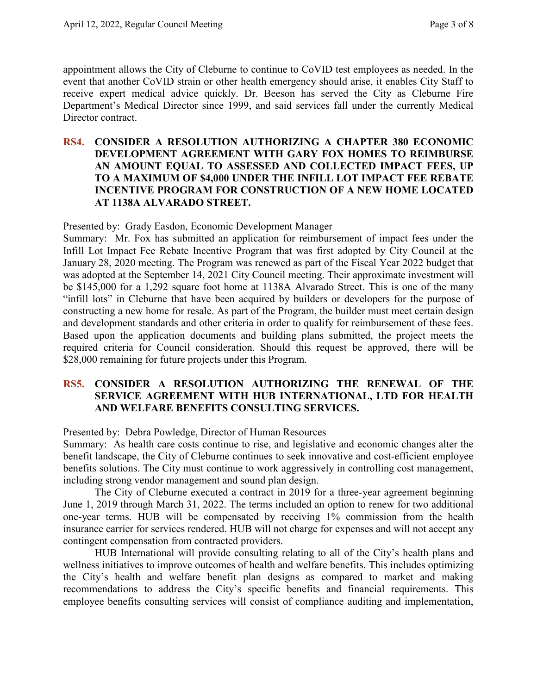appointment allows the City of Cleburne to continue to CoVID test employees as needed. In the event that another CoVID strain or other health emergency should arise, it enables City Staff to receive expert medical advice quickly. Dr. Beeson has served the City as Cleburne Fire Department's Medical Director since 1999, and said services fall under the currently Medical Director contract.

### **RS4. CONSIDER A RESOLUTION AUTHORIZING A CHAPTER 380 ECONOMIC DEVELOPMENT AGREEMENT WITH GARY FOX HOMES TO REIMBURSE AN AMOUNT EQUAL TO ASSESSED AND COLLECTED IMPACT FEES, UP TO A MAXIMUM OF \$4,000 UNDER THE INFILL LOT IMPACT FEE REBATE INCENTIVE PROGRAM FOR CONSTRUCTION OF A NEW HOME LOCATED AT 1138A ALVARADO STREET.**

### Presented by: Grady Easdon, Economic Development Manager

Summary: Mr. Fox has submitted an application for reimbursement of impact fees under the Infill Lot Impact Fee Rebate Incentive Program that was first adopted by City Council at the January 28, 2020 meeting. The Program was renewed as part of the Fiscal Year 2022 budget that was adopted at the September 14, 2021 City Council meeting. Their approximate investment will be \$145,000 for a 1,292 square foot home at 1138A Alvarado Street. This is one of the many "infill lots" in Cleburne that have been acquired by builders or developers for the purpose of constructing a new home for resale. As part of the Program, the builder must meet certain design and development standards and other criteria in order to qualify for reimbursement of these fees. Based upon the application documents and building plans submitted, the project meets the required criteria for Council consideration. Should this request be approved, there will be \$28,000 remaining for future projects under this Program.

### **RS5. CONSIDER A RESOLUTION AUTHORIZING THE RENEWAL OF THE SERVICE AGREEMENT WITH HUB INTERNATIONAL, LTD FOR HEALTH AND WELFARE BENEFITS CONSULTING SERVICES.**

Presented by: Debra Powledge, Director of Human Resources

Summary: As health care costs continue to rise, and legislative and economic changes alter the benefit landscape, the City of Cleburne continues to seek innovative and cost-efficient employee benefits solutions. The City must continue to work aggressively in controlling cost management, including strong vendor management and sound plan design.

The City of Cleburne executed a contract in 2019 for a three-year agreement beginning June 1, 2019 through March 31, 2022. The terms included an option to renew for two additional one-year terms. HUB will be compensated by receiving 1% commission from the health insurance carrier for services rendered. HUB will not charge for expenses and will not accept any contingent compensation from contracted providers.

HUB International will provide consulting relating to all of the City's health plans and wellness initiatives to improve outcomes of health and welfare benefits. This includes optimizing the City's health and welfare benefit plan designs as compared to market and making recommendations to address the City's specific benefits and financial requirements. This employee benefits consulting services will consist of compliance auditing and implementation,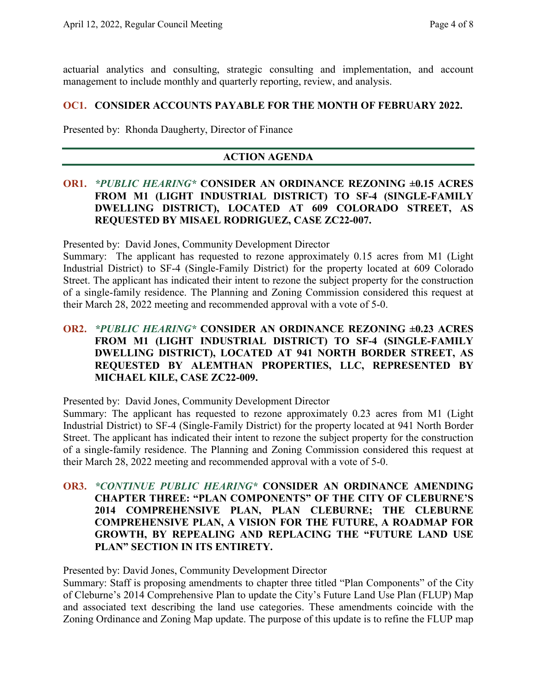actuarial analytics and consulting, strategic consulting and implementation, and account management to include monthly and quarterly reporting, review, and analysis.

#### **OC1. CONSIDER ACCOUNTS PAYABLE FOR THE MONTH OF FEBRUARY 2022.**

Presented by: Rhonda Daugherty, Director of Finance

### **ACTION AGENDA**

### **OR1.** *\*PUBLIC HEARING\** **CONSIDER AN ORDINANCE REZONING ±0.15 ACRES FROM M1 (LIGHT INDUSTRIAL DISTRICT) TO SF-4 (SINGLE-FAMILY DWELLING DISTRICT), LOCATED AT 609 COLORADO STREET, AS REQUESTED BY MISAEL RODRIGUEZ, CASE ZC22-007.**

Presented by: David Jones, Community Development Director

Summary: The applicant has requested to rezone approximately 0.15 acres from M1 (Light Industrial District) to SF-4 (Single-Family District) for the property located at 609 Colorado Street. The applicant has indicated their intent to rezone the subject property for the construction of a single-family residence. The Planning and Zoning Commission considered this request at their March 28, 2022 meeting and recommended approval with a vote of 5-0.

## **OR2.** *\*PUBLIC HEARING\** **CONSIDER AN ORDINANCE REZONING ±0.23 ACRES FROM M1 (LIGHT INDUSTRIAL DISTRICT) TO SF-4 (SINGLE-FAMILY DWELLING DISTRICT), LOCATED AT 941 NORTH BORDER STREET, AS REQUESTED BY ALEMTHAN PROPERTIES, LLC, REPRESENTED BY MICHAEL KILE, CASE ZC22-009.**

Presented by: David Jones, Community Development Director

Summary: The applicant has requested to rezone approximately 0.23 acres from M1 (Light Industrial District) to SF-4 (Single-Family District) for the property located at 941 North Border Street. The applicant has indicated their intent to rezone the subject property for the construction of a single-family residence. The Planning and Zoning Commission considered this request at their March 28, 2022 meeting and recommended approval with a vote of 5-0.

**OR3.** *\*CONTINUE PUBLIC HEARING\** **CONSIDER AN ORDINANCE AMENDING CHAPTER THREE: "PLAN COMPONENTS" OF THE CITY OF CLEBURNE'S 2014 COMPREHENSIVE PLAN, PLAN CLEBURNE; THE CLEBURNE COMPREHENSIVE PLAN, A VISION FOR THE FUTURE, A ROADMAP FOR GROWTH, BY REPEALING AND REPLACING THE "FUTURE LAND USE PLAN" SECTION IN ITS ENTIRETY.**

Presented by: David Jones, Community Development Director

Summary: Staff is proposing amendments to chapter three titled "Plan Components" of the City of Cleburne's 2014 Comprehensive Plan to update the City's Future Land Use Plan (FLUP) Map and associated text describing the land use categories. These amendments coincide with the Zoning Ordinance and Zoning Map update. The purpose of this update is to refine the FLUP map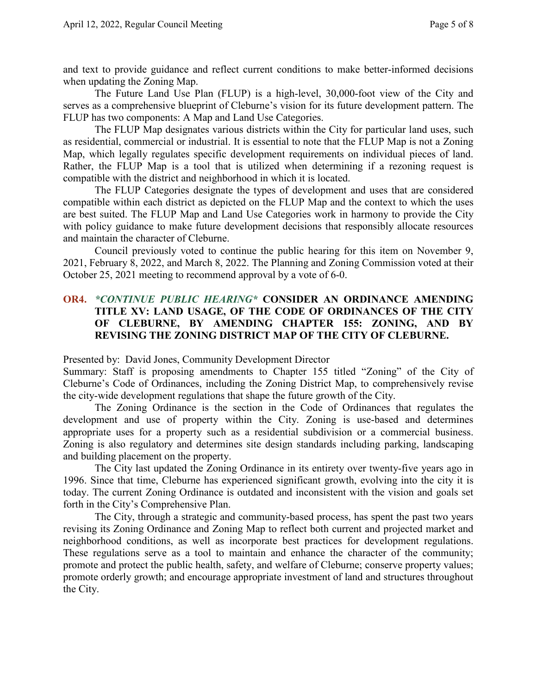and text to provide guidance and reflect current conditions to make better-informed decisions when updating the Zoning Map.

The Future Land Use Plan (FLUP) is a high-level, 30,000-foot view of the City and serves as a comprehensive blueprint of Cleburne's vision for its future development pattern. The FLUP has two components: A Map and Land Use Categories.

The FLUP Map designates various districts within the City for particular land uses, such as residential, commercial or industrial. It is essential to note that the FLUP Map is not a Zoning Map, which legally regulates specific development requirements on individual pieces of land. Rather, the FLUP Map is a tool that is utilized when determining if a rezoning request is compatible with the district and neighborhood in which it is located.

The FLUP Categories designate the types of development and uses that are considered compatible within each district as depicted on the FLUP Map and the context to which the uses are best suited. The FLUP Map and Land Use Categories work in harmony to provide the City with policy guidance to make future development decisions that responsibly allocate resources and maintain the character of Cleburne.

Council previously voted to continue the public hearing for this item on November 9, 2021, February 8, 2022, and March 8, 2022. The Planning and Zoning Commission voted at their October 25, 2021 meeting to recommend approval by a vote of 6-0.

## **OR4.** *\*CONTINUE PUBLIC HEARING\** **CONSIDER AN ORDINANCE AMENDING TITLE XV: LAND USAGE, OF THE CODE OF ORDINANCES OF THE CITY OF CLEBURNE, BY AMENDING CHAPTER 155: ZONING, AND BY REVISING THE ZONING DISTRICT MAP OF THE CITY OF CLEBURNE.**

Presented by: David Jones, Community Development Director

Summary: Staff is proposing amendments to Chapter 155 titled "Zoning" of the City of Cleburne's Code of Ordinances, including the Zoning District Map, to comprehensively revise the city-wide development regulations that shape the future growth of the City.

The Zoning Ordinance is the section in the Code of Ordinances that regulates the development and use of property within the City. Zoning is use-based and determines appropriate uses for a property such as a residential subdivision or a commercial business. Zoning is also regulatory and determines site design standards including parking, landscaping and building placement on the property.

The City last updated the Zoning Ordinance in its entirety over twenty-five years ago in 1996. Since that time, Cleburne has experienced significant growth, evolving into the city it is today. The current Zoning Ordinance is outdated and inconsistent with the vision and goals set forth in the City's Comprehensive Plan.

The City, through a strategic and community-based process, has spent the past two years revising its Zoning Ordinance and Zoning Map to reflect both current and projected market and neighborhood conditions, as well as incorporate best practices for development regulations. These regulations serve as a tool to maintain and enhance the character of the community; promote and protect the public health, safety, and welfare of Cleburne; conserve property values; promote orderly growth; and encourage appropriate investment of land and structures throughout the City.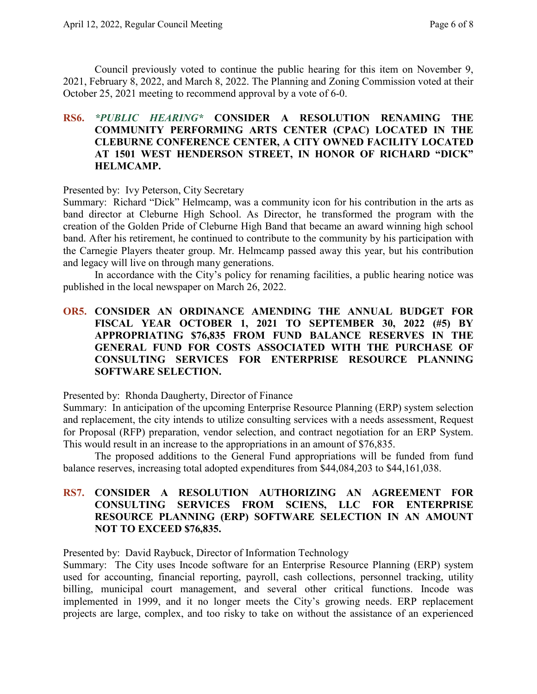Council previously voted to continue the public hearing for this item on November 9, 2021, February 8, 2022, and March 8, 2022. The Planning and Zoning Commission voted at their October 25, 2021 meeting to recommend approval by a vote of 6-0.

## **RS6.** *\*PUBLIC HEARING\** **CONSIDER A RESOLUTION RENAMING THE COMMUNITY PERFORMING ARTS CENTER (CPAC) LOCATED IN THE CLEBURNE CONFERENCE CENTER, A CITY OWNED FACILITY LOCATED AT 1501 WEST HENDERSON STREET, IN HONOR OF RICHARD "DICK" HELMCAMP.**

#### Presented by: Ivy Peterson, City Secretary

Summary: Richard "Dick" Helmcamp, was a community icon for his contribution in the arts as band director at Cleburne High School. As Director, he transformed the program with the creation of the Golden Pride of Cleburne High Band that became an award winning high school band. After his retirement, he continued to contribute to the community by his participation with the Carnegie Players theater group. Mr. Helmcamp passed away this year, but his contribution and legacy will live on through many generations.

In accordance with the City's policy for renaming facilities, a public hearing notice was published in the local newspaper on March 26, 2022.

## **OR5. CONSIDER AN ORDINANCE AMENDING THE ANNUAL BUDGET FOR FISCAL YEAR OCTOBER 1, 2021 TO SEPTEMBER 30, 2022 (#5) BY APPROPRIATING \$76,835 FROM FUND BALANCE RESERVES IN THE GENERAL FUND FOR COSTS ASSOCIATED WITH THE PURCHASE OF CONSULTING SERVICES FOR ENTERPRISE RESOURCE PLANNING SOFTWARE SELECTION.**

Presented by: Rhonda Daugherty, Director of Finance

Summary: In anticipation of the upcoming Enterprise Resource Planning (ERP) system selection and replacement, the city intends to utilize consulting services with a needs assessment, Request for Proposal (RFP) preparation, vendor selection, and contract negotiation for an ERP System. This would result in an increase to the appropriations in an amount of \$76,835.

The proposed additions to the General Fund appropriations will be funded from fund balance reserves, increasing total adopted expenditures from \$44,084,203 to \$44,161,038.

### **RS7. CONSIDER A RESOLUTION AUTHORIZING AN AGREEMENT FOR CONSULTING SERVICES FROM SCIENS, LLC FOR ENTERPRISE RESOURCE PLANNING (ERP) SOFTWARE SELECTION IN AN AMOUNT NOT TO EXCEED \$76,835.**

Presented by: David Raybuck, Director of Information Technology

Summary: The City uses Incode software for an Enterprise Resource Planning (ERP) system used for accounting, financial reporting, payroll, cash collections, personnel tracking, utility billing, municipal court management, and several other critical functions. Incode was implemented in 1999, and it no longer meets the City's growing needs. ERP replacement projects are large, complex, and too risky to take on without the assistance of an experienced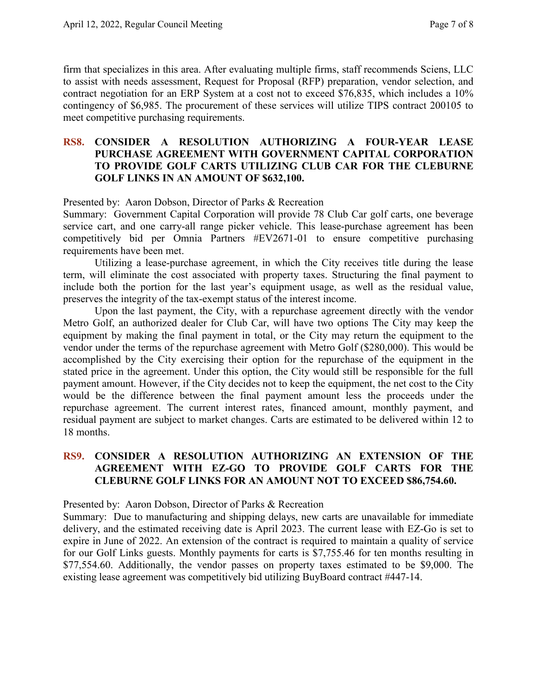firm that specializes in this area. After evaluating multiple firms, staff recommends Sciens, LLC to assist with needs assessment, Request for Proposal (RFP) preparation, vendor selection, and contract negotiation for an ERP System at a cost not to exceed \$76,835, which includes a 10% contingency of \$6,985. The procurement of these services will utilize TIPS contract 200105 to meet competitive purchasing requirements.

### **RS8. CONSIDER A RESOLUTION AUTHORIZING A FOUR-YEAR LEASE PURCHASE AGREEMENT WITH GOVERNMENT CAPITAL CORPORATION TO PROVIDE GOLF CARTS UTILIZING CLUB CAR FOR THE CLEBURNE GOLF LINKS IN AN AMOUNT OF \$632,100.**

Presented by: Aaron Dobson, Director of Parks & Recreation

Summary: Government Capital Corporation will provide 78 Club Car golf carts, one beverage service cart, and one carry-all range picker vehicle. This lease-purchase agreement has been competitively bid per Omnia Partners #EV2671-01 to ensure competitive purchasing requirements have been met.

Utilizing a lease-purchase agreement, in which the City receives title during the lease term, will eliminate the cost associated with property taxes. Structuring the final payment to include both the portion for the last year's equipment usage, as well as the residual value, preserves the integrity of the tax-exempt status of the interest income.

Upon the last payment, the City, with a repurchase agreement directly with the vendor Metro Golf, an authorized dealer for Club Car, will have two options The City may keep the equipment by making the final payment in total, or the City may return the equipment to the vendor under the terms of the repurchase agreement with Metro Golf (\$280,000). This would be accomplished by the City exercising their option for the repurchase of the equipment in the stated price in the agreement. Under this option, the City would still be responsible for the full payment amount. However, if the City decides not to keep the equipment, the net cost to the City would be the difference between the final payment amount less the proceeds under the repurchase agreement. The current interest rates, financed amount, monthly payment, and residual payment are subject to market changes. Carts are estimated to be delivered within 12 to 18 months.

### **RS9. CONSIDER A RESOLUTION AUTHORIZING AN EXTENSION OF THE AGREEMENT WITH EZ-GO TO PROVIDE GOLF CARTS FOR THE CLEBURNE GOLF LINKS FOR AN AMOUNT NOT TO EXCEED \$86,754.60.**

Presented by: Aaron Dobson, Director of Parks & Recreation

Summary: Due to manufacturing and shipping delays, new carts are unavailable for immediate delivery, and the estimated receiving date is April 2023. The current lease with EZ-Go is set to expire in June of 2022. An extension of the contract is required to maintain a quality of service for our Golf Links guests. Monthly payments for carts is \$7,755.46 for ten months resulting in \$77,554.60. Additionally, the vendor passes on property taxes estimated to be \$9,000. The existing lease agreement was competitively bid utilizing BuyBoard contract #447-14.